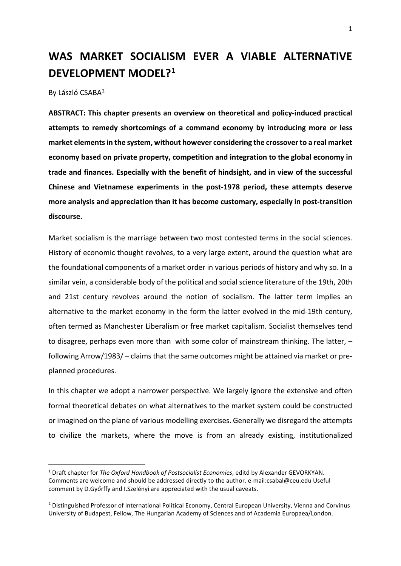# **WAS MARKET SOCIALISM EVER A VIABLE ALTERNATIVE DEVELOPMENT MODEL?[1](#page-0-0)**

By László CSABA[2](#page-0-1)

**ABSTRACT: This chapter presents an overview on theoretical and policy-induced practical attempts to remedy shortcomings of a command economy by introducing more or less market elements in the system, without however considering the crossover to a real market economy based on private property, competition and integration to the global economy in trade and finances. Especially with the benefit of hindsight, and in view of the successful Chinese and Vietnamese experiments in the post-1978 period, these attempts deserve more analysis and appreciation than it has become customary, especially in post-transition discourse.** 

Market socialism is the marriage between two most contested terms in the social sciences. History of economic thought revolves, to a very large extent, around the question what are the foundational components of a market order in various periods of history and why so. In a similar vein, a considerable body of the political and social science literature of the 19th, 20th and 21st century revolves around the notion of socialism. The latter term implies an alternative to the market economy in the form the latter evolved in the mid-19th century, often termed as Manchester Liberalism or free market capitalism. Socialist themselves tend to disagree, perhaps even more than with some color of mainstream thinking. The latter, – following Arrow/1983/ – claims that the same outcomes might be attained via market or preplanned procedures.

In this chapter we adopt a narrower perspective. We largely ignore the extensive and often formal theoretical debates on what alternatives to the market system could be constructed or imagined on the plane of various modelling exercises. Generally we disregard the attempts to civilize the markets, where the move is from an already existing, institutionalized

<span id="page-0-0"></span><sup>1</sup> Draft chapter for *The Oxford Handbook of Postsocialist Economies*, editd by Alexander GEVORKYAN. Comments are welcome and should be addressed directly to the author. e-mail:csabal@ceu.edu Useful comment by D.Győrffy and I.Szelényi are appreciated with the usual caveats.

<span id="page-0-1"></span><sup>2</sup> Distinguished Professor of International Political Economy, Central European University, Vienna and Corvinus University of Budapest, Fellow, The Hungarian Academy of Sciences and of Academia Europaea/London.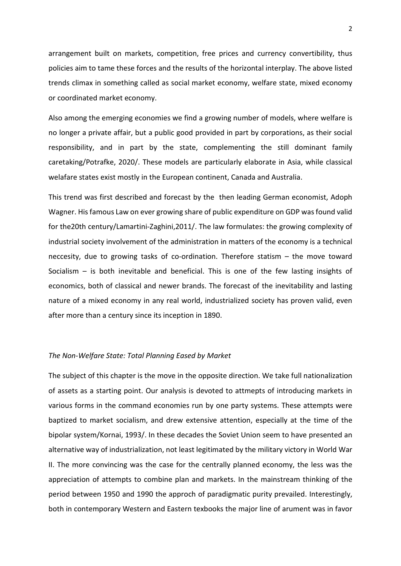arrangement built on markets, competition, free prices and currency convertibility, thus policies aim to tame these forces and the results of the horizontal interplay. The above listed trends climax in something called as social market economy, welfare state, mixed economy or coordinated market economy.

Also among the emerging economies we find a growing number of models, where welfare is no longer a private affair, but a public good provided in part by corporations, as their social responsibility, and in part by the state, complementing the still dominant family caretaking/Potrafke, 2020/. These models are particularly elaborate in Asia, while classical welafare states exist mostly in the European continent, Canada and Australia.

This trend was first described and forecast by the then leading German economist, Adoph Wagner. His famous Law on ever growing share of public expenditure on GDP was found valid for the20th century/Lamartini-Zaghini,2011/. The law formulates: the growing complexity of industrial society involvement of the administration in matters of the economy is a technical neccesity, due to growing tasks of co-ordination. Therefore statism – the move toward Socialism – is both inevitable and beneficial. This is one of the few lasting insights of economics, both of classical and newer brands. The forecast of the inevitability and lasting nature of a mixed economy in any real world, industrialized society has proven valid, even after more than a century since its inception in 1890.

## *The Non-Welfare State: Total Planning Eased by Market*

The subject of this chapter is the move in the opposite direction. We take full nationalization of assets as a starting point. Our analysis is devoted to attmepts of introducing markets in various forms in the command economies run by one party systems. These attempts were baptized to market socialism, and drew extensive attention, especially at the time of the bipolar system/Kornai, 1993/. In these decades the Soviet Union seem to have presented an alternative way of industrialization, not least legitimated by the military victory in World War II. The more convincing was the case for the centrally planned economy, the less was the appreciation of attempts to combine plan and markets. In the mainstream thinking of the period between 1950 and 1990 the approch of paradigmatic purity prevailed. Interestingly, both in contemporary Western and Eastern texbooks the major line of arument was in favor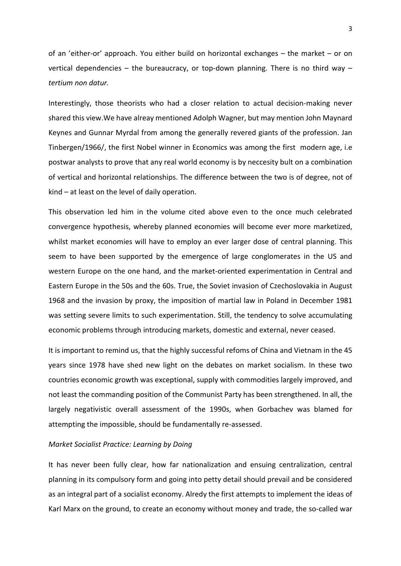of an 'either-or' approach. You either build on horizontal exchanges – the market – or on vertical dependencies – the bureaucracy, or top-down planning. There is no third way – *tertium non datur.*

Interestingly, those theorists who had a closer relation to actual decision-making never shared this view.We have alreay mentioned Adolph Wagner, but may mention John Maynard Keynes and Gunnar Myrdal from among the generally revered giants of the profession. Jan Tinbergen/1966/, the first Nobel winner in Economics was among the first modern age, i.e postwar analysts to prove that any real world economy is by neccesity bult on a combination of vertical and horizontal relationships. The difference between the two is of degree, not of kind – at least on the level of daily operation.

This observation led him in the volume cited above even to the once much celebrated convergence hypothesis, whereby planned economies will become ever more marketized, whilst market economies will have to employ an ever larger dose of central planning. This seem to have been supported by the emergence of large conglomerates in the US and western Europe on the one hand, and the market-oriented experimentation in Central and Eastern Europe in the 50s and the 60s. True, the Soviet invasion of Czechoslovakia in August 1968 and the invasion by proxy, the imposition of martial law in Poland in December 1981 was setting severe limits to such experimentation. Still, the tendency to solve accumulating economic problems through introducing markets, domestic and external, never ceased.

It is important to remind us, that the highly successful refoms of China and Vietnam in the 45 years since 1978 have shed new light on the debates on market socialism. In these two countries economic growth was exceptional, supply with commodities largely improved, and not least the commanding position of the Communist Party has been strengthened. In all, the largely negativistic overall assessment of the 1990s, when Gorbachev was blamed for attempting the impossible, should be fundamentally re-assessed.

## *Market Socialist Practice: Learning by Doing*

It has never been fully clear, how far nationalization and ensuing centralization, central planning in its compulsory form and going into petty detail should prevail and be considered as an integral part of a socialist economy. Alredy the first attempts to implement the ideas of Karl Marx on the ground, to create an economy without money and trade, the so-called war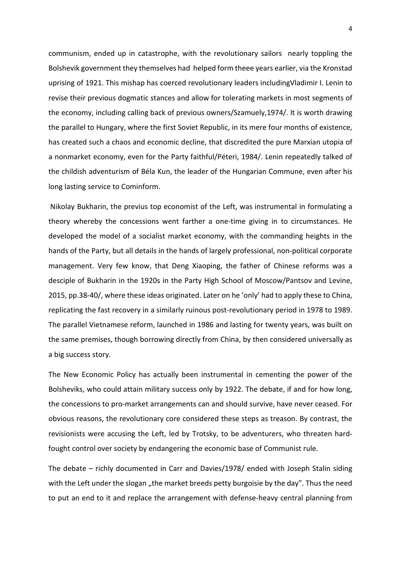communism, ended up in catastrophe, with the revolutionary sailors nearly toppling the Bolshevik government they themselves had helped form theee years earlier, via the Kronstad uprising of 1921. This mishap has coerced revolutionary leaders includingVladimir I. Lenin to revise their previous dogmatic stances and allow for tolerating markets in most segments of the economy, including calling back of previous owners/Szamuely,1974/. It is worth drawing the parallel to Hungary, where the first Soviet Republic, in its mere four months of existence, has created such a chaos and economic decline, that discredited the pure Marxian utopia of a nonmarket economy, even for the Party faithful/Péteri, 1984/. Lenin repeatedly talked of the childish adventurism of Béla Kun, the leader of the Hungarian Commune, even after his long lasting service to Cominform.

Nikolay Bukharin, the previus top economist of the Left, was instrumental in formulating a theory whereby the concessions went farther a one-time giving in to circumstances. He developed the model of a socialist market economy, with the commanding heights in the hands of the Party, but all details in the hands of largely professional, non-political corporate management. Very few know, that Deng Xiaoping, the father of Chinese reforms was a desciple of Bukharin in the 1920s in the Party High School of Moscow/Pantsov and Levine, 2015, pp.38-40/, where these ideas originated. Later on he 'only' had to apply these to China, replicating the fast recovery in a similarly ruinous post-revolutionary period in 1978 to 1989. The parallel Vietnamese reform, launched in 1986 and lasting for twenty years, was built on the same premises, though borrowing directly from China, by then considered universally as a big success story.

The New Economic Policy has actually been instrumental in cementing the power of the Bolsheviks, who could attain military success only by 1922. The debate, if and for how long, the concessions to pro-market arrangements can and should survive, have never ceased. For obvious reasons, the revolutionary core considered these steps as treason. By contrast, the revisionists were accusing the Left, led by Trotsky, to be adventurers, who threaten hardfought control over society by endangering the economic base of Communist rule.

The debate – richly documented in Carr and Davies/1978/ ended with Joseph Stalin siding with the Left under the slogan "the market breeds petty burgoisie by the day". Thus the need to put an end to it and replace the arrangement with defense-heavy central planning from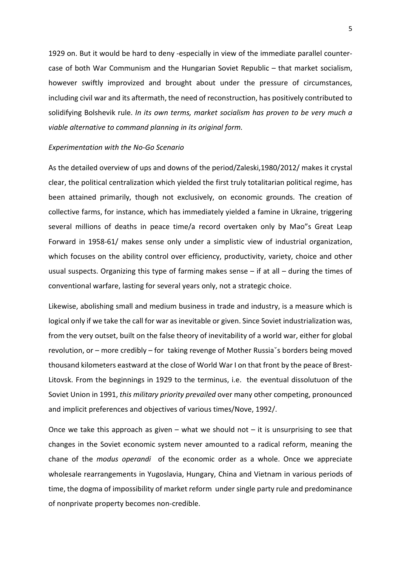1929 on. But it would be hard to deny -especially in view of the immediate parallel countercase of both War Communism and the Hungarian Soviet Republic – that market socialism, however swiftly improvized and brought about under the pressure of circumstances, including civil war and its aftermath, the need of reconstruction, has positively contributed to solidifying Bolshevik rule. *In its own terms, market socialism has proven to be very much a viable alternative to command planning in its original form.*

## *Experimentation with the No-Go Scenario*

As the detailed overview of ups and downs of the period/Zaleski,1980/2012/ makes it crystal clear, the political centralization which yielded the first truly totalitarian political regime, has been attained primarily, though not exclusively, on economic grounds. The creation of collective farms, for instance, which has immediately yielded a famine in Ukraine, triggering several millions of deaths in peace time/a record overtaken only by Mao"s Great Leap Forward in 1958-61/ makes sense only under a simplistic view of industrial organization, which focuses on the ability control over efficiency, productivity, variety, choice and other usual suspects. Organizing this type of farming makes sense  $-$  if at all  $-$  during the times of conventional warfare, lasting for several years only, not a strategic choice.

Likewise, abolishing small and medium business in trade and industry, is a measure which is logical only if we take the call for war as inevitable or given. Since Soviet industrialization was, from the very outset, built on the false theory of inevitability of a world war, either for global revolution, or – more credibly – for taking revenge of Mother Russiaˇs borders being moved thousand kilometers eastward at the close of World War I on that front by the peace of Brest-Litovsk. From the beginnings in 1929 to the terminus, i.e. the eventual dissolutuon of the Soviet Union in 1991, *this military priority prevailed* over many other competing, pronounced and implicit preferences and objectives of various times/Nove, 1992/.

Once we take this approach as given – what we should not  $-$  it is unsurprising to see that changes in the Soviet economic system never amounted to a radical reform, meaning the chane of the *modus operandi* of the economic order as a whole. Once we appreciate wholesale rearrangements in Yugoslavia, Hungary, China and Vietnam in various periods of time, the dogma of impossibility of market reform under single party rule and predominance of nonprivate property becomes non-credible.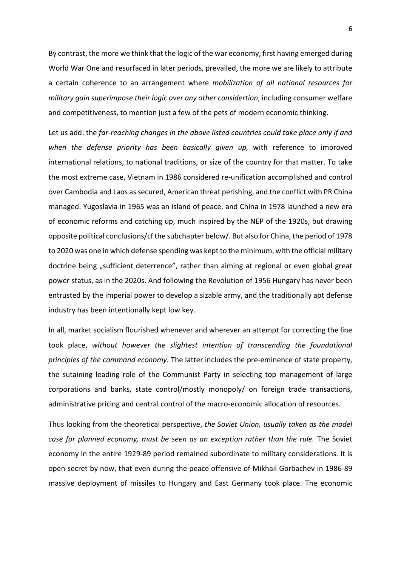By contrast, the more we think that the logic of the war economy, first having emerged during World War One and resurfaced in later periods, prevailed, the more we are likely to attribute a certain coherence to an arrangement where *mobilization of all national resources for military gain superimpose their logic over any other considertion*, including consumer welfare and competitiveness, to mention just a few of the pets of modern economic thinking.

Let us add: the *far-reaching changes in the above listed countries could take place only if and when the defense priority has been basically given up,* with reference to improved international relations, to national traditions, or size of the country for that matter. To take the most extreme case, Vietnam in 1986 considered re-unification accomplished and control over Cambodia and Laos as secured, American threat perishing, and the conflict with PR China managed. Yugoslavia in 1965 was an island of peace, and China in 1978 launched a new era of economic reforms and catching up, much inspired by the NEP of the 1920s, but drawing opposite political conclusions/cf the subchapter below/. But also for China, the period of 1978 to 2020 was one in which defense spending was kept to the minimum, with the official military doctrine being "sufficient deterrence", rather than aiming at regional or even global great power status, as in the 2020s. And following the Revolution of 1956 Hungary has never been entrusted by the imperial power to develop a sizable army, and the traditionally apt defense industry has been intentionally kept low key.

In all, market socialism flourished whenever and wherever an attempt for correcting the line took place, *without however the slightest intention of transcending the foundational principles of the command economy.* The latter includes the pre-eminence of state property, the sutaining leading role of the Communist Party in selecting top management of large corporations and banks, state control/mostly monopoly/ on foreign trade transactions, administrative pricing and central control of the macro-economic allocation of resources.

Thus looking from the theoretical perspective, *the Soviet Union, usually taken as the model case for planned economy, must be seen as an exception rather than the rule.* The Soviet economy in the entire 1929-89 period remained subordinate to military considerations. It is open secret by now, that even during the peace offensive of Mikhail Gorbachev in 1986-89 massive deployment of missiles to Hungary and East Germany took place. The economic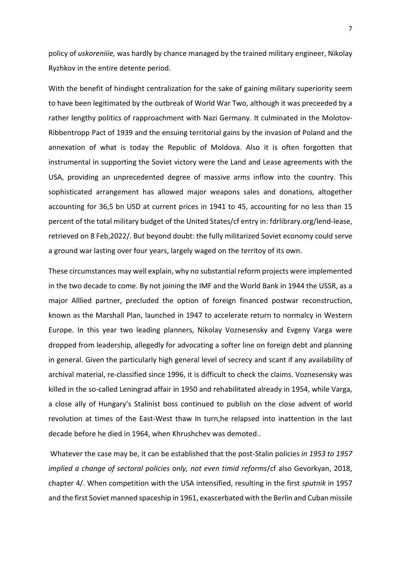policy of *uskoreniiie,* was hardly by chance managed by the trained military engineer, Nikolay Ryzhkov in the entire detente period.

With the benefit of hindisght centralization for the sake of gaining military superiority seem to have been legitimated by the outbreak of World War Two, although it was preceeded by a rather lengthy politics of rapproachment with Nazi Germany. It culminated in the Molotov-Ribbentropp Pact of 1939 and the ensuing territorial gains by the invasion of Poland and the annexation of what is today the Republic of Moldova. Also it is often forgotten that instrumental in supporting the Soviet victory were the Land and Lease agreements with the USA, providing an unprecedented degree of massive arms inflow into the country. This sophisticated arrangement has allowed major weapons sales and donations, altogether accounting for 36,5 bn USD at current prices in 1941 to 45, accounting for no less than 15 percent of the total military budget of the United States/cf entry in: fdrlibrary.org/lend-lease, retrieved on 8 Feb,2022/. But beyond doubt: the fully militarized Soviet economy could serve a ground war lasting over four years, largely waged on the territoy of its own.

These circumstances may well explain, why no substantial reform projects were implemented in the two decade to come. By not joining the IMF and the World Bank in 1944 the USSR, as a major Alllied partner, precluded the option of foreign financed postwar reconstruction, known as the Marshall Plan, launched in 1947 to accelerate return to normalcy in Western Europe. In this year two leading planners, Nikolay Voznesensky and Evgeny Varga were dropped from leadership, allegedly for advocating a softer line on foreign debt and planning in general. Given the particularly high general level of secrecy and scant if any availability of archival material, re-classified since 1996, it is difficult to check the claims. Voznesensky was killed in the so-called Leningrad affair in 1950 and rehabilitated already in 1954, while Varga, a close ally of Hungary's Stalinist boss continued to publish on the close advent of world revolution at times of the East-West thaw In turn,he relapsed into inattention in the last decade before he died in 1964, when Khrushchev was demoted..

Whatever the case may be, it can be established that the post-Stalin policies *in 1953 to 1957 implied a change of sectoral policies only, not even timid reforms*/cf also Gevorkyan, 2018, chapter 4/. When competition with the USA intensified, resulting in the first *sputnik* in 1957 and the first Soviet manned spaceship in 1961, exascerbated with the Berlin and Cuban missile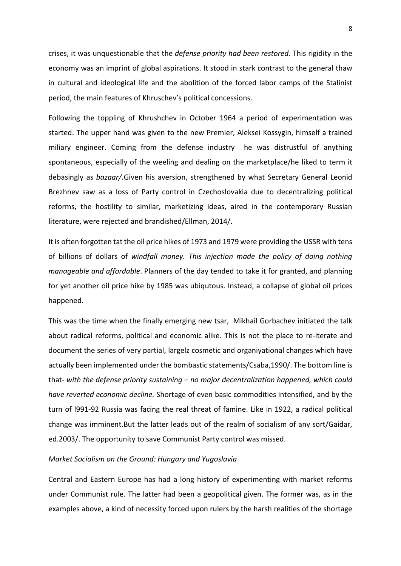crises, it was unquestionable that the *defense priority had been restored.* This rigidity in the economy was an imprint of global aspirations. It stood in stark contrast to the general thaw in cultural and ideological life and the abolition of the forced labor camps of the Stalinist period, the main features of Khruschev's political concessions.

Following the toppling of Khrushchev in October 1964 a period of experimentation was started. The upper hand was given to the new Premier, Aleksei Kossygin, himself a trained miliary engineer. Coming from the defense industry he was distrustful of anything spontaneous, especially of the weeling and dealing on the marketplace/he liked to term it debasingly as *bazaar/.*Given his aversion, strengthened by what Secretary General Leonid Brezhnev saw as a loss of Party control in Czechoslovakia due to decentralizing political reforms, the hostility to similar, marketizing ideas, aired in the contemporary Russian literature, were rejected and brandished/Ellman, 2014/.

It is often forgotten tat the oil price hikes of 1973 and 1979 were providing the USSR with tens of billions of dollars of *windfall money. This injection made the policy of doing nothing manageable and affordable*. Planners of the day tended to take it for granted, and planning for yet another oil price hike by 1985 was ubiqutous. Instead, a collapse of global oil prices happened.

This was the time when the finally emerging new tsar, Mikhail Gorbachev initiated the talk about radical reforms, political and economic alike. This is not the place to re-iterate and document the series of very partial, largelz cosmetic and organiyational changes which have actually been implemented under the bombastic statements/Csaba,1990/. The bottom line is that- *with the defense priority sustaining – no major decentralization happened, which could have reverted economic decline.* Shortage of even basic commodities intensified, and by the turn of l991-92 Russia was facing the real threat of famine. Like in 1922, a radical political change was imminent.But the latter leads out of the realm of socialism of any sort/Gaidar, ed.2003/. The opportunity to save Communist Party control was missed.

# *Market Socialism on the Ground: Hungary and Yugoslavia*

Central and Eastern Europe has had a long history of experimenting with market reforms under Communist rule. The latter had been a geopolitical given. The former was, as in the examples above, a kind of necessity forced upon rulers by the harsh realities of the shortage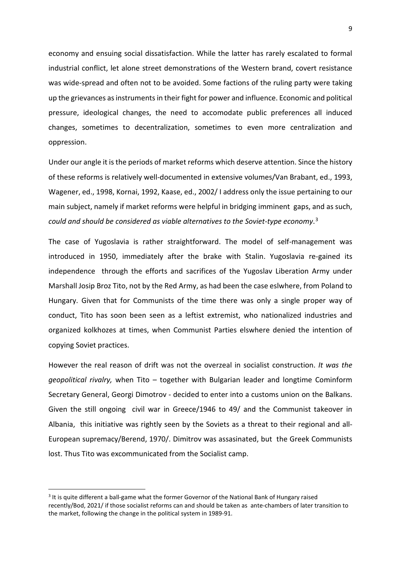economy and ensuing social dissatisfaction. While the latter has rarely escalated to formal industrial conflict, let alone street demonstrations of the Western brand, covert resistance was wide-spread and often not to be avoided. Some factions of the ruling party were taking up the grievances as instruments in their fight for power and influence. Economic and political pressure, ideological changes, the need to accomodate public preferences all induced changes, sometimes to decentralization, sometimes to even more centralization and oppression.

Under our angle it is the periods of market reforms which deserve attention. Since the history of these reforms is relatively well-documented in extensive volumes/Van Brabant, ed., 1993, Wagener, ed., 1998, Kornai, 1992, Kaase, ed., 2002/ I address only the issue pertaining to our main subject, namely if market reforms were helpful in bridging imminent gaps, and as such, *could and should be considered as viable alternatives to the Soviet-type economy*. [3](#page-8-0)

The case of Yugoslavia is rather straightforward. The model of self-management was introduced in 1950, immediately after the brake with Stalin. Yugoslavia re-gained its independence through the efforts and sacrifices of the Yugoslav Liberation Army under Marshall Josip Broz Tito, not by the Red Army, as had been the case eslwhere, from Poland to Hungary. Given that for Communists of the time there was only a single proper way of conduct, Tito has soon been seen as a leftist extremist, who nationalized industries and organized kolkhozes at times, when Communist Parties elswhere denied the intention of copying Soviet practices.

However the real reason of drift was not the overzeal in socialist construction. *It was the geopolitical rivalry,* when Tito – together with Bulgarian leader and longtime Cominform Secretary General, Georgi Dimotrov - decided to enter into a customs union on the Balkans. Given the still ongoing civil war in Greece/1946 to 49/ and the Communist takeover in Albania, this initiative was rightly seen by the Soviets as a threat to their regional and all-European supremacy/Berend, 1970/. Dimitrov was assasinated, but the Greek Communists lost. Thus Tito was excommunicated from the Socialist camp.

<span id="page-8-0"></span><sup>&</sup>lt;sup>3</sup> It is quite different a ball-game what the former Governor of the National Bank of Hungary raised recently/Bod, 2021/ if those socialist reforms can and should be taken as ante-chambers of later transition to the market, following the change in the political system in 1989-91.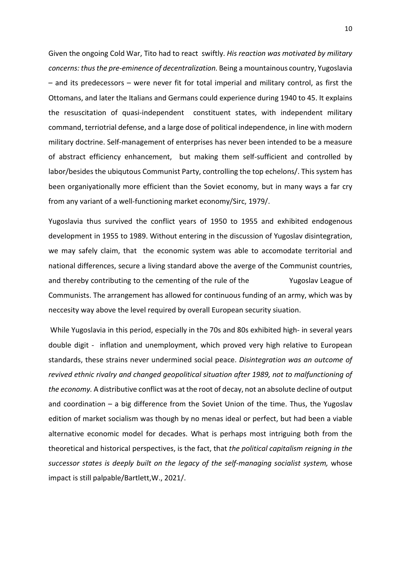Given the ongoing Cold War, Tito had to react swiftly. *His reaction was motivated by military concerns: thus the pre-eminence of decentralization.* Being a mountainous country, Yugoslavia – and its predecessors – were never fit for total imperial and military control, as first the Ottomans, and later the Italians and Germans could experience during 1940 to 45. It explains the resuscitation of quasi-independent constituent states, with independent military command, terriotrial defense, and a large dose of political independence, in line with modern military doctrine. Self-management of enterprises has never been intended to be a measure of abstract efficiency enhancement, but making them self-sufficient and controlled by labor/besides the ubiqutous Communist Party, controlling the top echelons/. This system has been organiyationally more efficient than the Soviet economy, but in many ways a far cry from any variant of a well-functioning market economy/Sirc, 1979/.

Yugoslavia thus survived the conflict years of 1950 to 1955 and exhibited endogenous development in 1955 to 1989. Without entering in the discussion of Yugoslav disintegration, we may safely claim, that the economic system was able to accomodate territorial and national differences, secure a living standard above the averge of the Communist countries, and thereby contributing to the cementing of the rule of the Yugoslav League of Communists. The arrangement has allowed for continuous funding of an army, which was by neccesity way above the level required by overall European security siuation.

While Yugoslavia in this period, especially in the 70s and 80s exhibited high- in several years double digit - inflation and unemployment, which proved very high relative to European standards, these strains never undermined social peace. *Disintegration was an outcome of revived ethnic rivalry and changed geopolitical situation after 1989, not to malfunctioning of the economy.* A distributive conflict was at the root of decay, not an absolute decline of output and coordination – a big difference from the Soviet Union of the time. Thus, the Yugoslav edition of market socialism was though by no menas ideal or perfect, but had been a viable alternative economic model for decades. What is perhaps most intriguing both from the theoretical and historical perspectives, is the fact, that *the political capitalism reigning in the successor states is deeply built on the legacy of the self-managing socialist system,* whose impact is still palpable/Bartlett,W., 2021/.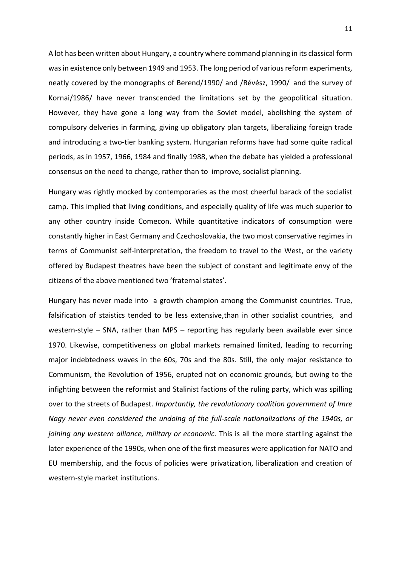A lot has been written about Hungary, a country where command planning in its classical form was in existence only between 1949 and 1953. The long period of various reform experiments, neatly covered by the monographs of Berend/1990/ and /Révész, 1990/ and the survey of Kornai/1986/ have never transcended the limitations set by the geopolitical situation. However, they have gone a long way from the Soviet model, abolishing the system of compulsory delveries in farming, giving up obligatory plan targets, liberalizing foreign trade and introducing a two-tier banking system. Hungarian reforms have had some quite radical periods, as in 1957, 1966, 1984 and finally 1988, when the debate has yielded a professional consensus on the need to change, rather than to improve, socialist planning.

Hungary was rightly mocked by contemporaries as the most cheerful barack of the socialist camp. This implied that living conditions, and especially quality of life was much superior to any other country inside Comecon. While quantitative indicators of consumption were constantly higher in East Germany and Czechoslovakia, the two most conservative regimes in terms of Communist self-interpretation, the freedom to travel to the West, or the variety offered by Budapest theatres have been the subject of constant and legitimate envy of the citizens of the above mentioned two 'fraternal states'.

Hungary has never made into a growth champion among the Communist countries. True, falsification of staistics tended to be less extensive,than in other socialist countries, and western-style – SNA, rather than MPS – reporting has regularly been available ever since 1970. Likewise, competitiveness on global markets remained limited, leading to recurring major indebtedness waves in the 60s, 70s and the 80s. Still, the only major resistance to Communism, the Revolution of 1956, erupted not on economic grounds, but owing to the infighting between the reformist and Stalinist factions of the ruling party, which was spilling over to the streets of Budapest. *Importantly, the revolutionary coalition government of Imre Nagy never even considered the undoing of the full-scale nationalizations of the 1940s, or joining any western alliance, military or economic.* This is all the more startling against the later experience of the 1990s, when one of the first measures were application for NATO and EU membership, and the focus of policies were privatization, liberalization and creation of western-style market institutions.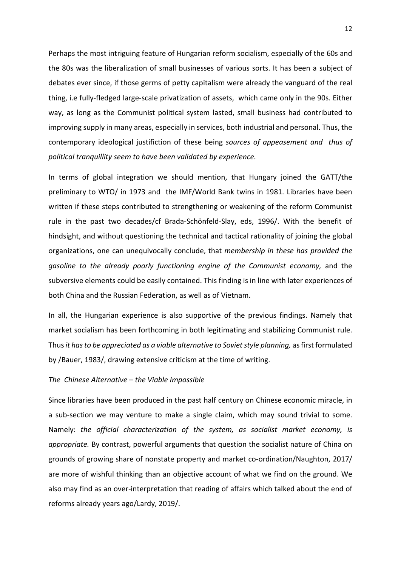Perhaps the most intriguing feature of Hungarian reform socialism, especially of the 60s and the 80s was the liberalization of small businesses of various sorts. It has been a subject of debates ever since, if those germs of petty capitalism were already the vanguard of the real thing, i.e fully-fledged large-scale privatization of assets, which came only in the 90s. Either way, as long as the Communist political system lasted, small business had contributed to improving supply in many areas, especially in services, both industrial and personal. Thus, the contemporary ideological justifiction of these being *sources of appeasement and thus of political tranquillity seem to have been validated by experience.*

In terms of global integration we should mention, that Hungary joined the GATT/the preliminary to WTO/ in 1973 and the IMF/World Bank twins in 1981. Libraries have been written if these steps contributed to strengthening or weakening of the reform Communist rule in the past two decades/cf Brada-Schönfeld-Slay, eds, 1996/. With the benefit of hindsight, and without questioning the technical and tactical rationality of joining the global organizations, one can unequivocally conclude, that *membership in these has provided the gasoline to the already poorly functioning engine of the Communist economy,* and the subversive elements could be easily contained. This finding is in line with later experiences of both China and the Russian Federation, as well as of Vietnam.

In all, the Hungarian experience is also supportive of the previous findings. Namely that market socialism has been forthcoming in both legitimating and stabilizing Communist rule. Thus *it has to be appreciated as a viable alternative to Soviet style planning,* as first formulated by /Bauer, 1983/, drawing extensive criticism at the time of writing.

# *The Chinese Alternative – the Viable Impossible*

Since libraries have been produced in the past half century on Chinese economic miracle, in a sub-section we may venture to make a single claim, which may sound trivial to some. Namely: *the official characterization of the system, as socialist market economy, is appropriate.* By contrast, powerful arguments that question the socialist nature of China on grounds of growing share of nonstate property and market co-ordination/Naughton, 2017/ are more of wishful thinking than an objective account of what we find on the ground. We also may find as an over-interpretation that reading of affairs which talked about the end of reforms already years ago/Lardy, 2019/.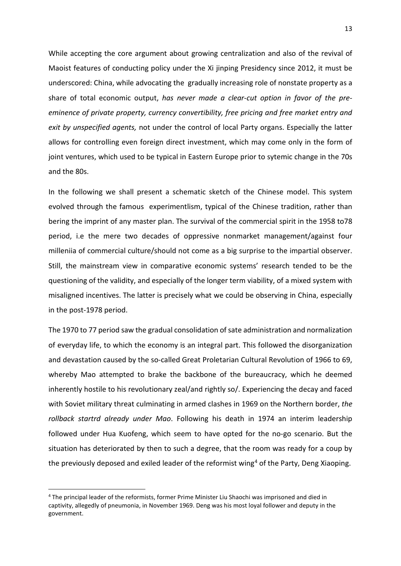While accepting the core argument about growing centralization and also of the revival of Maoist features of conducting policy under the Xi jinping Presidency since 2012, it must be underscored: China, while advocating the gradually increasing role of nonstate property as a share of total economic output, *has never made a clear-cut option in favor of the preeminence of private property, currency convertibility, free pricing and free market entry and exit by unspecified agents,* not under the control of local Party organs. Especially the latter allows for controlling even foreign direct investment, which may come only in the form of joint ventures, which used to be typical in Eastern Europe prior to sytemic change in the 70s and the 80s.

In the following we shall present a schematic sketch of the Chinese model. This system evolved through the famous experimentlism, typical of the Chinese tradition, rather than bering the imprint of any master plan. The survival of the commercial spirit in the 1958 to78 period, i.e the mere two decades of oppressive nonmarket management/against four milleniia of commercial culture/should not come as a big surprise to the impartial observer. Still, the mainstream view in comparative economic systems' research tended to be the questioning of the validity, and especially of the longer term viability, of a mixed system with misaligned incentives. The latter is precisely what we could be observing in China, especially in the post-1978 period.

The 1970 to 77 period saw the gradual consolidation of sate administration and normalization of everyday life, to which the economy is an integral part. This followed the disorganization and devastation caused by the so-called Great Proletarian Cultural Revolution of 1966 to 69, whereby Mao attempted to brake the backbone of the bureaucracy, which he deemed inherently hostile to his revolutionary zeal/and rightly so/. Experiencing the decay and faced with Soviet military threat culminating in armed clashes in 1969 on the Northern border, *the rollback startrd already under Mao*. Following his death in 1974 an interim leadership followed under Hua Kuofeng, which seem to have opted for the no-go scenario. But the situation has deteriorated by then to such a degree, that the room was ready for a coup by the previously deposed and exiled leader of the reformist wing<sup>4</sup> of the Party, Deng Xiaoping.

<span id="page-12-0"></span><sup>4</sup> The principal leader of the reformists, former Prime Minister Liu Shaochi was imprisoned and died in captivity, allegedly of pneumonia, in November 1969. Deng was his most loyal follower and deputy in the government.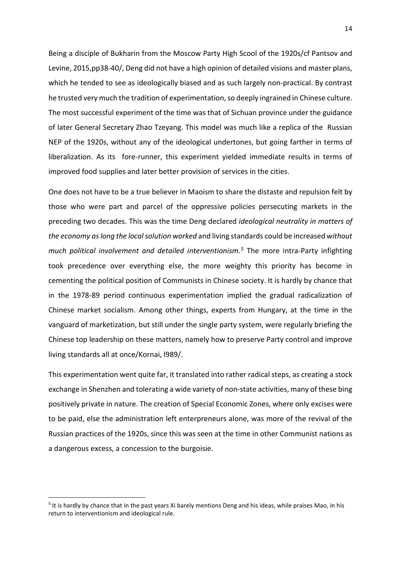Being a disciple of Bukharin from the Moscow Party High Scool of the 1920s/cf Pantsov and Levine, 2015,pp38-40/, Deng did not have a high opinion of detailed visions and master plans, which he tended to see as ideologically biased and as such largely non-practical. By contrast he trusted very much the tradition of experimentation, so deeply ingrained in Chinese culture. The most successful experiment of the time was that of Sichuan province under the guidance of later General Secretary Zhao Tzeyang. This model was much like a replica of the Russian NEP of the 1920s, without any of the ideological undertones, but going farther in terms of liberalization. As its fore-runner, this experiment yielded immediate results in terms of improved food supplies and later better provision of services in the cities.

One does not have to be a true believer in Maoism to share the distaste and repulsion felt by those who were part and parcel of the oppressive policies persecuting markets in the preceding two decades. This was the time Deng declared *ideological neutrality in matters of the economy as long the local solution worked* and living standards could be increased *without much political involvement and detailed interventionism.[5](#page-13-0)* The more intra-Party infighting took precedence over everything else, the more weighty this priority has become in cementing the political position of Communists in Chinese society. It is hardly by chance that in the 1978-89 period continuous experimentation implied the gradual radicalization of Chinese market socialism. Among other things, experts from Hungary, at the time in the vanguard of marketization, but still under the single party system, were regularly briefing the Chinese top leadership on these matters, namely how to preserve Party control and improve living standards all at once/Kornai, l989/.

This experimentation went quite far, it translated into rather radical steps, as creating a stock exchange in Shenzhen and tolerating a wide variety of non-state activities, many of these bing positively private in nature. The creation of Special Economic Zones, where only excises were to be paid, else the administration left enterpreneurs alone, was more of the revival of the Russian practices of the 1920s, since this was seen at the time in other Communist nations as a dangerous excess, a concession to the burgoisie.

<span id="page-13-0"></span><sup>5</sup> It is hardly by chance that in the past years Xi barely mentions Deng and his ideas, while praises Mao, in his return to interventionism and ideological rule.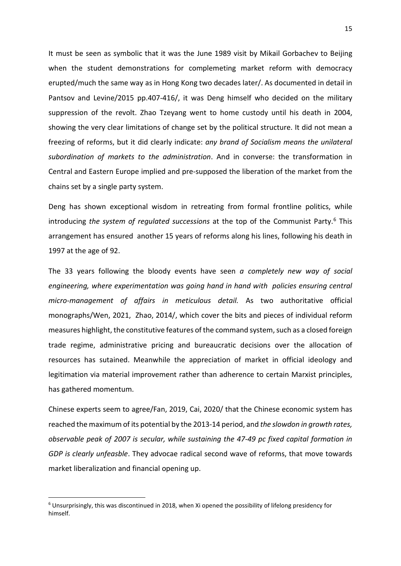It must be seen as symbolic that it was the June 1989 visit by Mikail Gorbachev to Beijing when the student demonstrations for complemeting market reform with democracy erupted/much the same way as in Hong Kong two decades later/. As documented in detail in Pantsov and Levine/2015 pp.407-416/, it was Deng himself who decided on the military suppression of the revolt. Zhao Tzeyang went to home custody until his death in 2004, showing the very clear limitations of change set by the political structure. It did not mean a freezing of reforms, but it did clearly indicate: *any brand of Socialism means the unilateral subordination of markets to the administration*. And in converse: the transformation in Central and Eastern Europe implied and pre-supposed the liberation of the market from the chains set by a single party system.

Deng has shown exceptional wisdom in retreating from formal frontline politics, while introducing *the system of regulated successions* at the top of the Communist Party.[6](#page-14-0) This arrangement has ensured another 15 years of reforms along his lines, following his death in 1997 at the age of 92.

The 33 years following the bloody events have seen *a completely new way of social engineering, where experimentation was going hand in hand with policies ensuring central micro-management of affairs in meticulous detail.* As two authoritative official monographs/Wen, 2021, Zhao, 2014/, which cover the bits and pieces of individual reform measures highlight, the constitutive features of the command system, such as a closed foreign trade regime, administrative pricing and bureaucratic decisions over the allocation of resources has sutained. Meanwhile the appreciation of market in official ideology and legitimation via material improvement rather than adherence to certain Marxist principles, has gathered momentum.

Chinese experts seem to agree/Fan, 2019, Cai, 2020/ that the Chinese economic system has reached the maximum of its potential by the 2013-14 period, and *the slowdon in growth rates, observable peak of 2007 is secular, while sustaining the 47-49 pc fixed capital formation in GDP is clearly unfeasble*. They advocae radical second wave of reforms, that move towards market liberalization and financial opening up.

<span id="page-14-0"></span><sup>6</sup> Unsurprisingly, this was discontinued in 2018, when Xi opened the possibility of lifelong presidency for himself.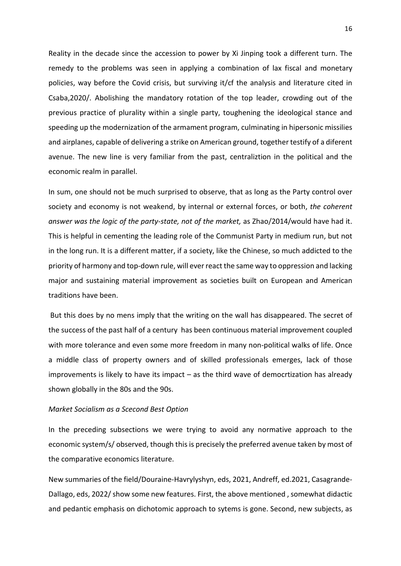Reality in the decade since the accession to power by Xi Jinping took a different turn. The remedy to the problems was seen in applying a combination of lax fiscal and monetary policies, way before the Covid crisis, but surviving it/cf the analysis and literature cited in Csaba,2020/. Abolishing the mandatory rotation of the top leader, crowding out of the previous practice of plurality within a single party, toughening the ideological stance and speeding up the modernization of the armament program, culminating in hipersonic missilies and airplanes, capable of delivering a strike on American ground, together testify of a diferent avenue. The new line is very familiar from the past, centraliztion in the political and the economic realm in parallel.

In sum, one should not be much surprised to observe, that as long as the Party control over society and economy is not weakend, by internal or external forces, or both, *the coherent answer was the logic of the party-state, not of the market,* as Zhao/2014/would have had it. This is helpful in cementing the leading role of the Communist Party in medium run, but not in the long run. It is a different matter, if a society, like the Chinese, so much addicted to the priority of harmony and top-down rule, will ever react the same way to oppression and lacking major and sustaining material improvement as societies built on European and American traditions have been.

But this does by no mens imply that the writing on the wall has disappeared. The secret of the success of the past half of a century has been continuous material improvement coupled with more tolerance and even some more freedom in many non-political walks of life. Once a middle class of property owners and of skilled professionals emerges, lack of those improvements is likely to have its impact – as the third wave of democrtization has already shown globally in the 80s and the 90s.

## *Market Socialism as a Scecond Best Option*

In the preceding subsections we were trying to avoid any normative approach to the economic system/s/ observed, though this is precisely the preferred avenue taken by most of the comparative economics literature.

New summaries of the field/Douraine-Havrylyshyn, eds, 2021, Andreff, ed.2021, Casagrande-Dallago, eds, 2022/show some new features. First, the above mentioned, somewhat didactic and pedantic emphasis on dichotomic approach to sytems is gone. Second, new subjects, as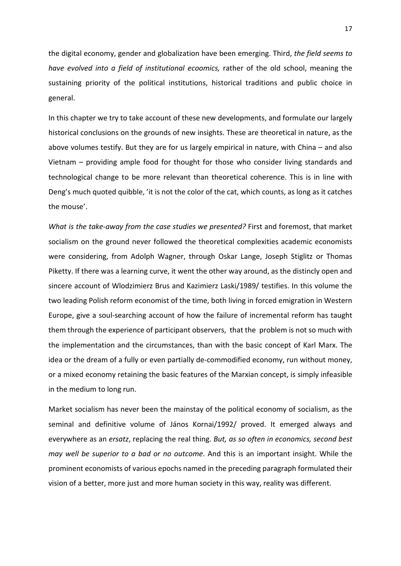the digital economy, gender and globalization have been emerging. Third, *the field seems to have evolved into a field of institutional ecoomics,* rather of the old school, meaning the sustaining priority of the political institutions, historical traditions and public choice in general.

In this chapter we try to take account of these new developments, and formulate our largely historical conclusions on the grounds of new insights. These are theoretical in nature, as the above volumes testify. But they are for us largely empirical in nature, with China – and also Vietnam – providing ample food for thought for those who consider living standards and technological change to be more relevant than theoretical coherence. This is in line with Deng's much quoted quibble, 'it is not the color of the cat, which counts, as long as it catches the mouse'.

*What is the take-away from the case studies we presented?* First and foremost, that market socialism on the ground never followed the theoretical complexities academic economists were considering, from Adolph Wagner, through Oskar Lange, Joseph Stiglitz or Thomas Piketty. If there was a learning curve, it went the other way around, as the distincly open and sincere account of Wlodzimierz Brus and Kazimierz Laski/1989/ testifies. In this volume the two leading Polish reform economist of the time, both living in forced emigration in Western Europe, give a soul-searching account of how the failure of incremental reform has taught them through the experience of participant observers, that the problem is not so much with the implementation and the circumstances, than with the basic concept of Karl Marx. The idea or the dream of a fully or even partially de-commodified economy, run without money, or a mixed economy retaining the basic features of the Marxian concept, is simply infeasible in the medium to long run.

Market socialism has never been the mainstay of the political economy of socialism, as the seminal and definitive volume of János Kornai/1992/ proved. It emerged always and everywhere as an *ersatz*, replacing the real thing. *But, as so often in economics, second best may well be superior to a bad or no outcome*. And this is an important insight. While the prominent economists of various epochs named in the preceding paragraph formulated their vision of a better, more just and more human society in this way, reality was different.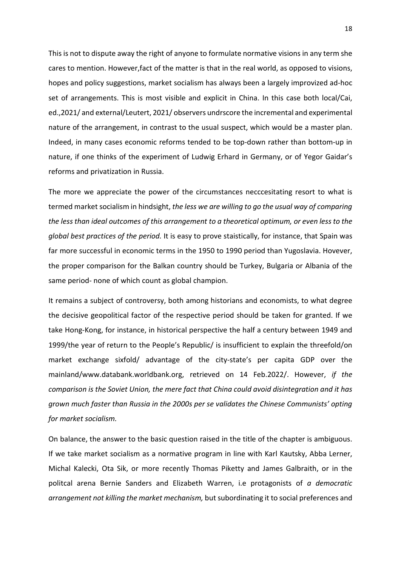This is not to dispute away the right of anyone to formulate normative visions in any term she cares to mention. However,fact of the matter is that in the real world, as opposed to visions, hopes and policy suggestions, market socialism has always been a largely improvized ad-hoc set of arrangements. This is most visible and explicit in China. In this case both local/Cai, ed.,2021/ and external/Leutert, 2021/ observers undrscore the incremental and experimental nature of the arrangement, in contrast to the usual suspect, which would be a master plan. Indeed, in many cases economic reforms tended to be top-down rather than bottom-up in nature, if one thinks of the experiment of Ludwig Erhard in Germany, or of Yegor Gaidar's reforms and privatization in Russia.

The more we appreciate the power of the circumstances necccesitating resort to what is termed market socialism in hindsight, *the less we are willing to go the usual way of comparing the less than ideal outcomes of this arrangement to a theoretical optimum, or even less to the global best practices of the period.* It is easy to prove staistically, for instance, that Spain was far more successful in economic terms in the 1950 to 1990 period than Yugoslavia. Hovever, the proper comparison for the Balkan country should be Turkey, Bulgaria or Albania of the same period- none of which count as global champion.

It remains a subject of controversy, both among historians and economists, to what degree the decisive geopolitical factor of the respective period should be taken for granted. If we take Hong-Kong, for instance, in historical perspective the half a century between 1949 and 1999/the year of return to the People's Republic/ is insufficient to explain the threefold/on market exchange sixfold/ advantage of the city-state's per capita GDP over the mainland/www.databank.worldbank.org, retrieved on 14 Feb.2022/. However, *if the comparison is the Soviet Union, the mere fact that China could avoid disintegration and it has grown much faster than Russia in the 2000s per se validates the Chinese Communists' opting for market socialism.*

On balance, the answer to the basic question raised in the title of the chapter is ambiguous. If we take market socialism as a normative program in line with Karl Kautsky, Abba Lerner, Michal Kalecki, Ota Sik, or more recently Thomas Piketty and James Galbraith, or in the politcal arena Bernie Sanders and Elizabeth Warren, i.e protagonists of *a democratic arrangement not killing the market mechanism,* but subordinating it to social preferences and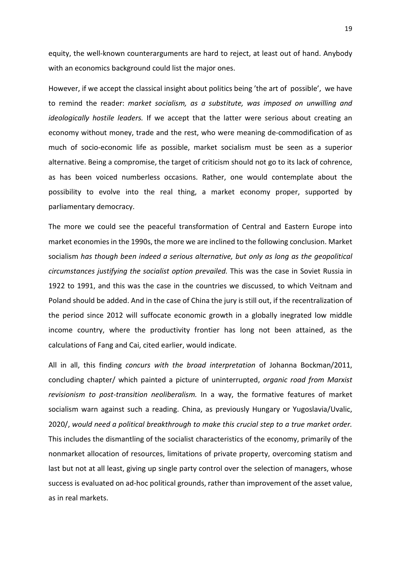equity, the well-known counterarguments are hard to reject, at least out of hand. Anybody with an economics background could list the major ones.

However, if we accept the classical insight about politics being 'the art of possible', we have to remind the reader: *market socialism, as a substitute, was imposed on unwilling and ideologically hostile leaders.* If we accept that the latter were serious about creating an economy without money, trade and the rest, who were meaning de-commodification of as much of socio-economic life as possible, market socialism must be seen as a superior alternative. Being a compromise, the target of criticism should not go to its lack of cohrence, as has been voiced numberless occasions. Rather, one would contemplate about the possibility to evolve into the real thing, a market economy proper, supported by parliamentary democracy.

The more we could see the peaceful transformation of Central and Eastern Europe into market economies in the 1990s, the more we are inclined to the following conclusion. Market socialism *has though been indeed a serious alternative, but only as long as the geopolitical circumstances justifying the socialist option prevailed.* This was the case in Soviet Russia in 1922 to 1991, and this was the case in the countries we discussed, to which Veitnam and Poland should be added. And in the case of China the jury is still out, if the recentralization of the period since 2012 will suffocate economic growth in a globally inegrated low middle income country, where the productivity frontier has long not been attained, as the calculations of Fang and Cai, cited earlier, would indicate.

All in all, this finding *concurs with the broad interpretation* of Johanna Bockman/2011, concluding chapter/ which painted a picture of uninterrupted, *organic road from Marxist revisionism to post-transition neoliberalism.* In a way, the formative features of market socialism warn against such a reading. China, as previously Hungary or Yugoslavia/Uvalic, 2020/, *would need a political breakthrough to make this crucial step to a true market order.* This includes the dismantling of the socialist characteristics of the economy, primarily of the nonmarket allocation of resources, limitations of private property, overcoming statism and last but not at all least, giving up single party control over the selection of managers, whose success is evaluated on ad-hoc political grounds, rather than improvement of the asset value, as in real markets.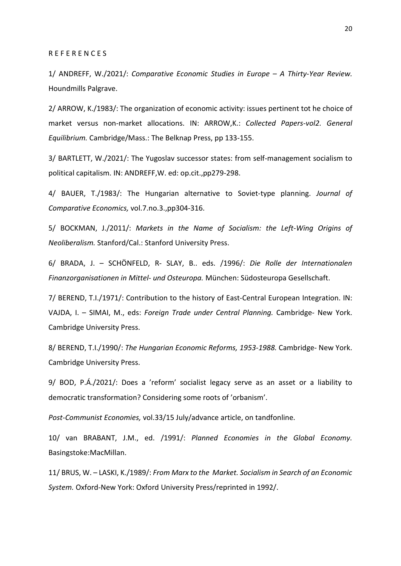### R E F E R E N C E S

1/ ANDREFF, W./2021/: *Comparative Economic Studies in Europe – A Thirty-Year Review.*  Houndmills Palgrave.

2/ ARROW, K./1983/: The organization of economic activity: issues pertinent tot he choice of market versus non-market allocations. IN: ARROW,K.: *Collected Papers-vol2. General Equilibrium.* Cambridge/Mass.: The Belknap Press, pp 133-155.

3/ BARTLETT, W./2021/: The Yugoslav successor states: from self-management socialism to political capitalism. IN: ANDREFF,W. ed: op.cit.,pp279-298.

4/ BAUER, T./1983/: The Hungarian alternative to Soviet-type planning. *Journal of Comparative Economics,* vol.7.no.3.,pp304-316.

5/ BOCKMAN, J./2011/: *Markets in the Name of Socialism: the Left-Wing Origins of Neoliberalism.* Stanford/Cal.: Stanford University Press.

6/ BRADA, J. – SCHÖNFELD, R- SLAY, B.. eds. /1996/: *Die Rolle der Internationalen Finanzorganisationen in Mittel- und Osteuropa.* München: Südosteuropa Gesellschaft.

7/ BEREND, T.I./1971/: Contribution to the history of East-Central European Integration. IN: VAJDA, I. – SIMAI, M., eds: *Foreign Trade under Central Planning.* Cambridge- New York. Cambridge University Press.

8/ BEREND, T.I./1990/: *The Hungarian Economic Reforms, 1953-1988.* Cambridge- New York. Cambridge University Press.

9/ BOD, P.Á./2021/: Does a 'reform' socialist legacy serve as an asset or a liability to democratic transformation? Considering some roots of 'orbanism'.

*Post-Communist Economies,* vol.33/15 July/advance article, on tandfonline.

10/ van BRABANT, J.M., ed. /1991/: *Planned Economies in the Global Economy.* Basingstoke:MacMillan.

11/ BRUS, W. – LASKI, K./1989/: *From Marx to the Market. Socialism in Search of an Economic System.* Oxford-New York: Oxford University Press/reprinted in 1992/.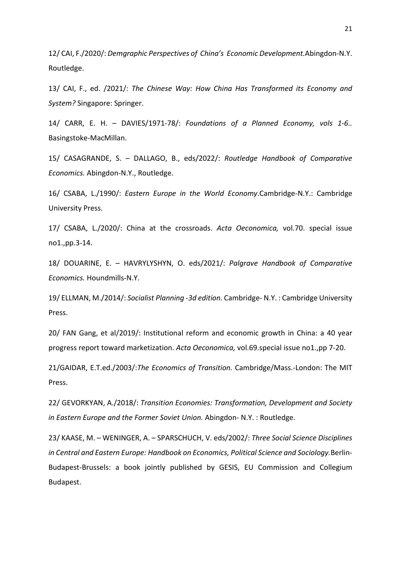12/ CAI, F./2020/: *Demgraphic Perspectives of China's Economic Development.*Abingdon-N.Y. Routledge.

13/ CAI, F., ed. /2021/: *The Chinese Way: How China Has Transformed its Economy and System?* Singapore: Springer.

14/ CARR, E. H. – DAVIES/1971-78/: *Foundations of a Planned Economy, vols 1-6..* Basingstoke-MacMillan.

15/ CASAGRANDE, S. – DALLAGO, B., eds/2022/: *Routledge Handbook of Comparative Economics.* Abingdon-N.Y., Routledge.

16/ CSABA, L./1990/: *Eastern Europe in the World Economy*.Cambridge-N.Y.: Cambridge University Press.

17/ CSABA, L./2020/: China at the crossroads. *Acta Oeconomica,* vol.70. special issue no1.,pp.3-14.

18/ DOUARINE, E. – HAVRYLYSHYN, O. eds/2021/: *Palgrave Handbook of Comparative Economics.* Houndmills-N.Y.

19/ ELLMAN, M./2014/: *Socialist Planning -3d edition.* Cambridge- N.Y. : Cambridge University Press.

20/ FAN Gang, et al/2019/: Institutional reform and economic growth in China: a 40 year progress report toward marketization. *Acta Oeconomica,* vol.69.special issue no1.,pp 7-20.

21/GAIDAR, E.T.ed./2003/:*The Economics of Transition.* Cambridge/Mass.-London: The MIT Press.

22/ GEVORKYAN, A./2018/: *Transition Economies: Transformation, Development and Society in Eastern Europe and the Former Soviet Union.* Abingdon- N.Y. : Routledge.

23/ KAASE, M. – WENINGER, A. – SPARSCHUCH, V. eds/2002/: *Three Social Science Disciplines in Central and Eastern Europe: Handbook on Economics, Political Science and Sociology.*Berlin-Budapest-Brussels: a book jointly published by GESIS, EU Commission and Collegium Budapest.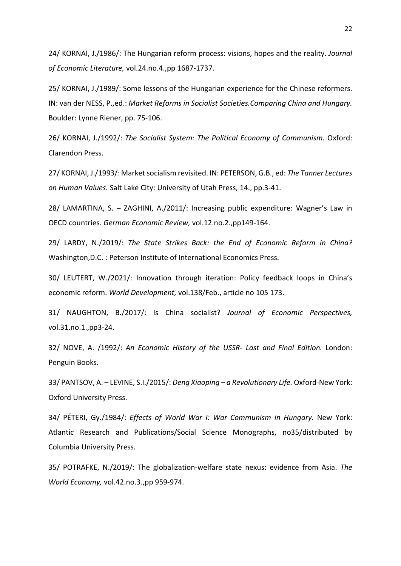24/ KORNAI, J./1986/: The Hungarian reform process: visions, hopes and the reality. *Journal of Economic Literature,* vol.24.no.4.,pp 1687-1737.

25/ KORNAI, J./1989/: Some lessons of the Hungarian experience for the Chinese reformers. IN: van der NESS, P.,ed.: *Market Reforms in Socialist Societies.Comparing China and Hungary.*  Boulder: Lynne Riener, pp. 75-106.

26/ KORNAI, J./1992/: *The Socialist System: The Political Economy of Communism.* Oxford: Clarendon Press.

27/ KORNAI, J./1993/: Market socialism revisited. IN: PETERSON, G.B., ed: *The Tanner Lectures on Human Values.* Salt Lake City: University of Utah Press, 14., pp.3-41.

28/ LAMARTINA, S. – ZAGHINI, A./2011/: Increasing public expenditure: Wagner's Law in OECD countries. *German Economic Review,* vol.12.no.2.,pp149-164.

29/ LARDY, N./2019/: *The State Strikes Back: the End of Economic Reform in China?*  Washington,D.C. : Peterson Institute of International Economics Press.

30/ LEUTERT, W./2021/: Innovation through iteration: Policy feedback loops in China's economic reform. *World Development,* vol.138/Feb., article no 105 173.

31/ NAUGHTON, B./2017/: Is China socialist? *Journal of Economic Perspectives,*  vol.31.no.1.,pp3-24.

32/ NOVE, A. /1992/: *An Economic History of the USSR- Last and Final Edition.* London: Penguin Books.

33/ PANTSOV, A. – LEVINE, S.I./2015/: *Deng Xiaoping – a Revolutionary Life.* Oxford-New York: Oxford University Press.

34/ PÉTERI, Gy./1984/: *Effects of World War I: War Communism in Hungary.* New York: Atlantic Research and Publications/Social Science Monographs, no35/distributed by Columbia University Press.

35/ POTRAFKE, N./2019/: The globalization-welfare state nexus: evidence from Asia. *The World Economy,* vol.42.no.3.,pp 959-974.